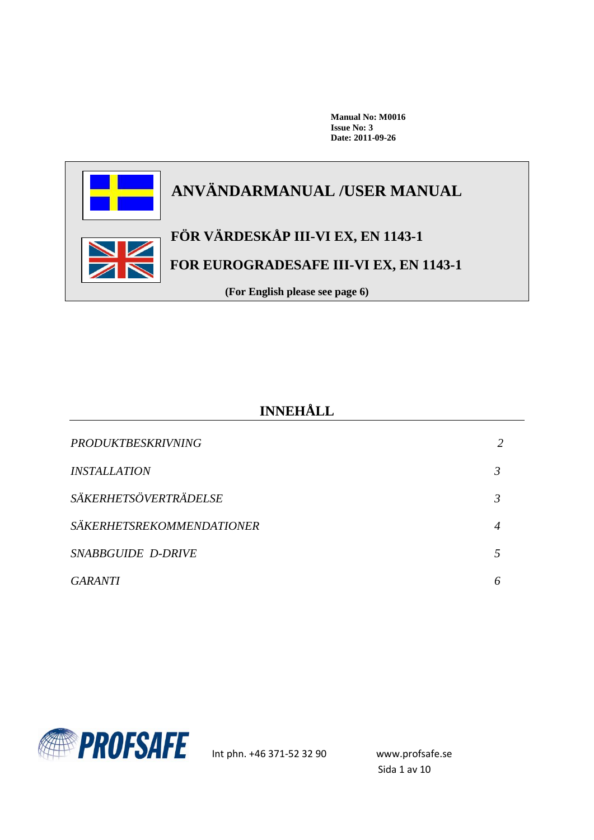**Manual No: M0016 Issue No: 3 Date: 2011-09-26**



# **INNEHÅLL**

| <b>PRODUKTBESKRIVNING</b>        |  |
|----------------------------------|--|
| <i><b>INSTALLATION</b></i>       |  |
| SÄKERHETSÖVERTRÄDELSE            |  |
| <b>SÄKERHETSREKOMMENDATIONER</b> |  |
| SNABBGUIDE D-DRIVE               |  |
| GARANTI                          |  |

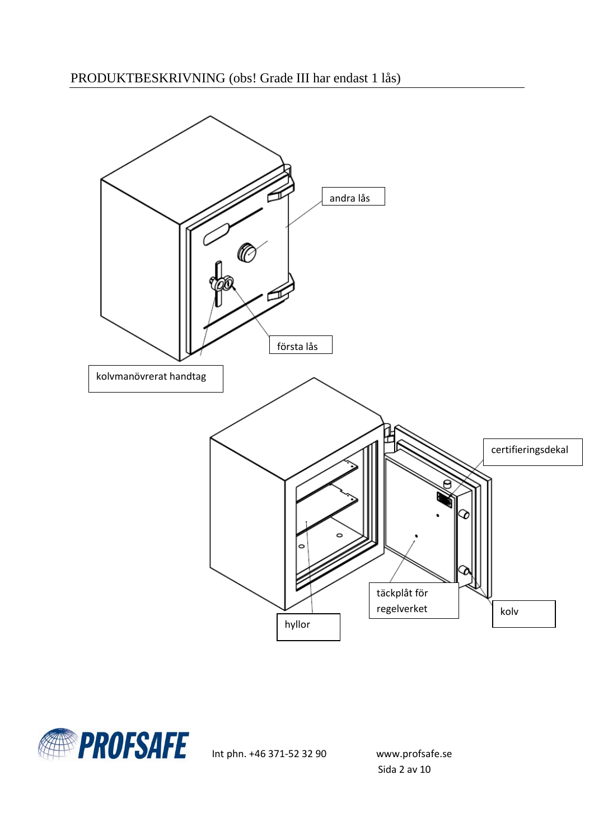

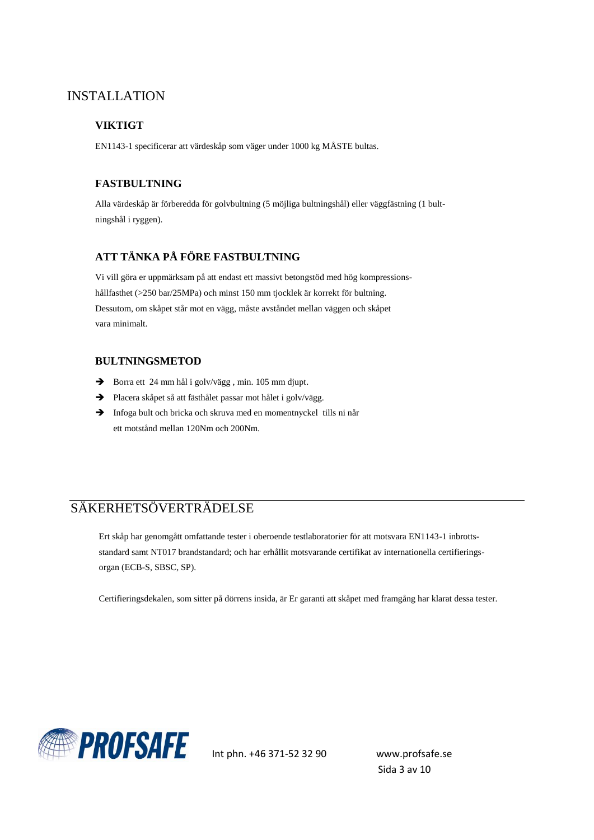### INSTALLATION

### **VIKTIGT**

EN1143-1 specificerar att värdeskåp som väger under 1000 kg MÅSTE bultas.

### **FASTBULTNING**

Alla värdeskåp är förberedda för golvbultning (5 möjliga bultningshål) eller väggfästning (1 bultningshål i ryggen).

### **ATT TÄNKA PÅ FÖRE FASTBULTNING**

Vi vill göra er uppmärksam på att endast ett massivt betongstöd med hög kompressionshållfasthet (>250 bar/25MPa) och minst 150 mm tjocklek är korrekt för bultning. Dessutom, om skåpet står mot en vägg, måste avståndet mellan väggen och skåpet vara minimalt.

#### **BULTNINGSMETOD**

- Borra ett 24 mm hål i golv/vägg, min. 105 mm djupt.
- Placera skåpet så att fästhålet passar mot hålet i golv/vägg.
- $\rightarrow$  Infoga bult och bricka och skruva med en momentnyckel tills ni når ett motstånd mellan 120Nm och 200Nm.

# SÄKERHETSÖVERTRÄDELSE

Ert skåp har genomgått omfattande tester i oberoende testlaboratorier för att motsvara EN1143-1 inbrottsstandard samt NT017 brandstandard; och har erhållit motsvarande certifikat av internationella certifieringsorgan (ECB-S, SBSC, SP).

Certifieringsdekalen, som sitter på dörrens insida, är Er garanti att skåpet med framgång har klarat dessa tester.



Sida 3 av 10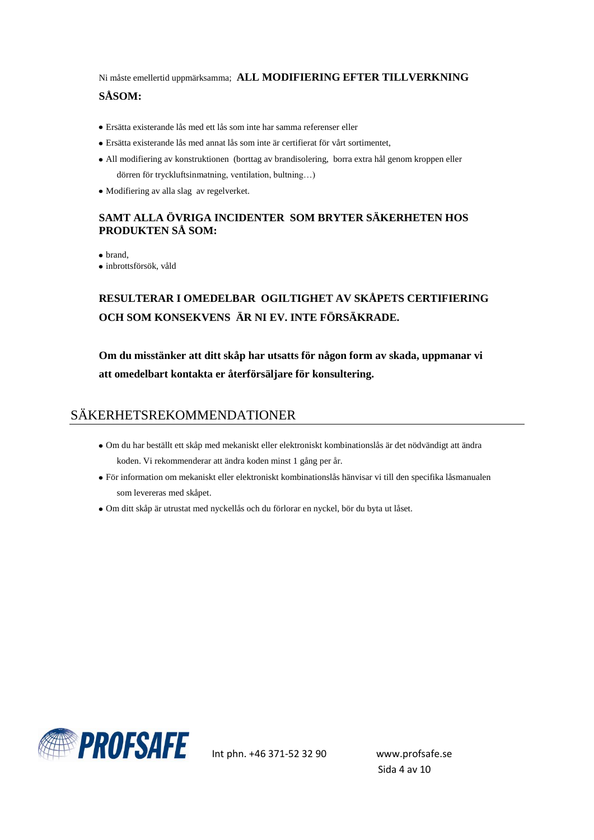Ni måste emellertid uppmärksamma; **ALL MODIFIERING EFTER TILLVERKNING SÅSOM:**

- Ersätta existerande lås med ett lås som inte har samma referenser eller
- Ersätta existerande lås med annat lås som inte är certifierat för vårt sortimentet,
- All modifiering av konstruktionen (borttag av brandisolering, borra extra hål genom kroppen eller dörren för tryckluftsinmatning, ventilation, bultning…)
- Modifiering av alla slag av regelverket.

### **SAMT ALLA ÖVRIGA INCIDENTER SOM BRYTER SÄKERHETEN HOS PRODUKTEN SÅ SOM:**

• brand,

inbrottsförsök, våld

# **RESULTERAR I OMEDELBAR OGILTIGHET AV SKÅPETS CERTIFIERING OCH SOM KONSEKVENS ÄR NI EV. INTE FÖRSÄKRADE.**

**Om du misstänker att ditt skåp har utsatts för någon form av skada, uppmanar vi att omedelbart kontakta er återförsäljare för konsultering.**

# SÄKERHETSREKOMMENDATIONER

- Om du har beställt ett skåp med mekaniskt eller elektroniskt kombinationslås är det nödvändigt att ändra koden. Vi rekommenderar att ändra koden minst 1 gång per år.
- För information om mekaniskt eller elektroniskt kombinationslås hänvisar vi till den specifika låsmanualen som levereras med skåpet.
- Om ditt skåp är utrustat med nyckellås och du förlorar en nyckel, bör du byta ut låset.

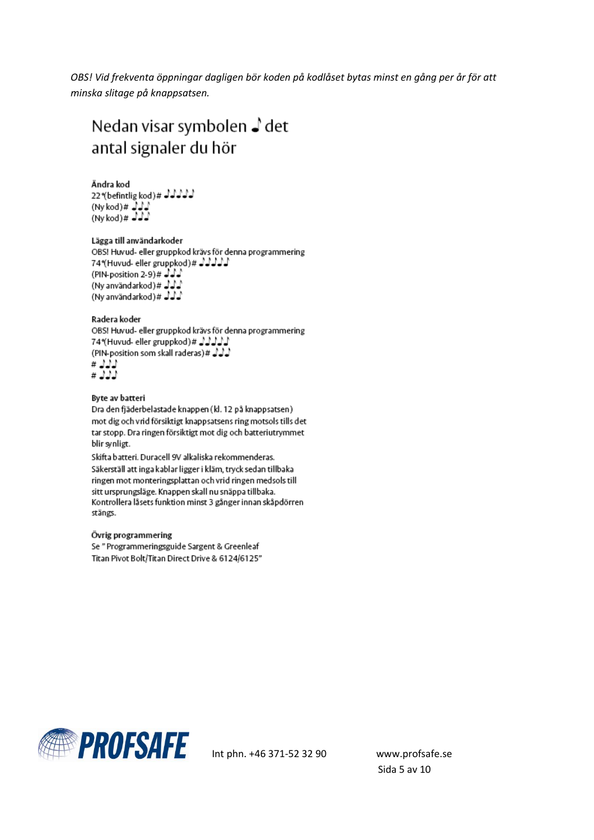*OBS! Vid frekventa öppningar dagligen bör koden på kodlåset bytas minst en gång per år för att minska slitage på knappsatsen.*

# Nedan visar symbolen ♪ det antal signaler du hör

Ändra kod

22\*(befintlig kod)# JJJJJ  $(Nykod)$ #  $JJJ$ <br>(Ny kod)#  $JJJ$ 

Lägga till användarkoder OBS! Huvud- eller gruppkod krävs för denna programmering 74\*(Huvud- eller gruppkod)# JJJJJ (PIN-position 2-9)#  $J J$ (Ny användarkod)# $\sqrt{2}$ (Ny användarkod)# JJJ

#### Radera koder

OBS! Huvud- eller gruppkod krävs för denna programmering 74 Huvud- eller gruppkod) # JJJJJ لدلولة # (PIN-position som skall raderas)) ננג#<br>נגג

#### Byte av batteri

Dra den fjäderbelastade knappen (kl. 12 på knappsatsen) mot dig och vrid försiktigt knappsatsens ring motsols tills det tar stopp. Dra ringen försiktigt mot dig och batteriutrymmet blir synligt.

Skifta batteri. Duracell 9V alkaliska rekommenderas. Säkerställ att inga kablar ligger i kläm, tryck sedan tillbaka ringen mot monteringsplattan och vrid ringen medsols till sitt ursprungsläge. Knappen skall nu snäppa tillbaka. Kontrollera låsets funktion minst 3 gånger innan skåpdörren stängs.

#### Övrig programmering

Se "Programmeringsguide Sargent & Greenleaf Titan Pivot Bolt/Titan Direct Drive & 6124/6125"

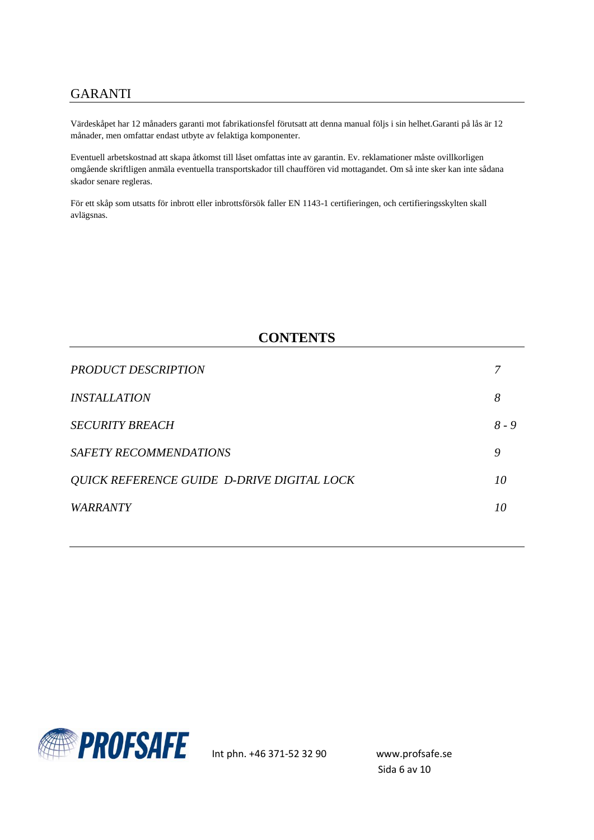# GARANTI

Värdeskåpet har 12 månaders garanti mot fabrikationsfel förutsatt att denna manual följs i sin helhet.Garanti på lås är 12 månader, men omfattar endast utbyte av felaktiga komponenter.

Eventuell arbetskostnad att skapa åtkomst till låset omfattas inte av garantin. Ev. reklamationer måste ovillkorligen omgående skriftligen anmäla eventuella transportskador till chauffören vid mottagandet. Om så inte sker kan inte sådana skador senare regleras.

För ett skåp som utsatts för inbrott eller inbrottsförsök faller EN 1143-1 certifieringen, och certifieringsskylten skall avlägsnas.

### **CONTENTS**

| <b>PRODUCT DESCRIPTION</b>                 |         |
|--------------------------------------------|---------|
| <i><b>INSTALLATION</b></i>                 | 8       |
| <b>SECURITY BREACH</b>                     | $8 - 9$ |
| <b>SAFETY RECOMMENDATIONS</b>              | 9       |
| QUICK REFERENCE GUIDE D-DRIVE DIGITAL LOCK | 10      |
| <b>WARRANTY</b>                            | 10      |
|                                            |         |

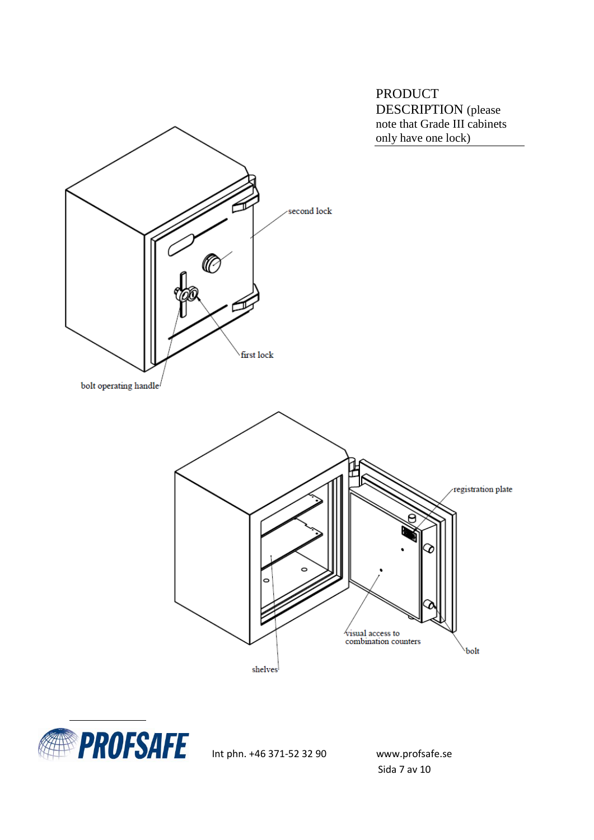PRODUCT DESCRIPTION (please





Int phn. +46 371-52 32 90 www.profsafe.se

Sida 7 av 10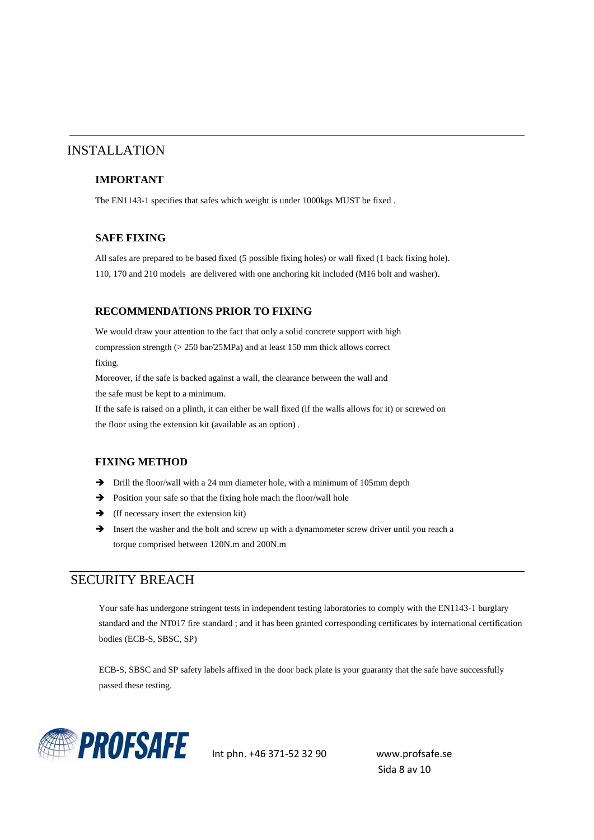### INSTALLATION

#### **IMPORTANT**

The EN1143-1 specifies that safes which weight is under 1000kgs MUST be fixed .

#### **SAFE FIXING**

All safes are prepared to be based fixed (5 possible fixing holes) or wall fixed (1 back fixing hole). 110, 170 and 210 models are delivered with one anchoring kit included (M16 bolt and washer).

#### **RECOMMENDATIONS PRIOR TO FIXING**

We would draw your attention to the fact that only a solid concrete support with high compression strength (> 250 bar/25MPa) and at least 150 mm thick allows correct fixing.

Moreover, if the safe is backed against a wall, the clearance between the wall and the safe must be kept to a minimum.

If the safe is raised on a plinth, it can either be wall fixed (if the walls allows for it) or screwed on the floor using the extension kit (available as an option) .

#### **FIXING METHOD**

- $\rightarrow$  Drill the floor/wall with a 24 mm diameter hole, with a minimum of 105mm depth
- $\rightarrow$  Position your safe so that the fixing hole mach the floor/wall hole
- $\rightarrow$  (If necessary insert the extension kit)
- Insert the washer and the bolt and screw up with a dynamometer screw driver until you reach a torque comprised between 120N.m and 200N.m

### SECURITY BREACH

Your safe has undergone stringent tests in independent testing laboratories to comply with the EN1143-1 burglary standard and the NT017 fire standard ; and it has been granted corresponding certificates by international certification bodies (ECB-S, SBSC, SP)

ECB-S, SBSC and SP safety labels affixed in the door back plate is your guaranty that the safe have successfully passed these testing.



Sida 8 av 10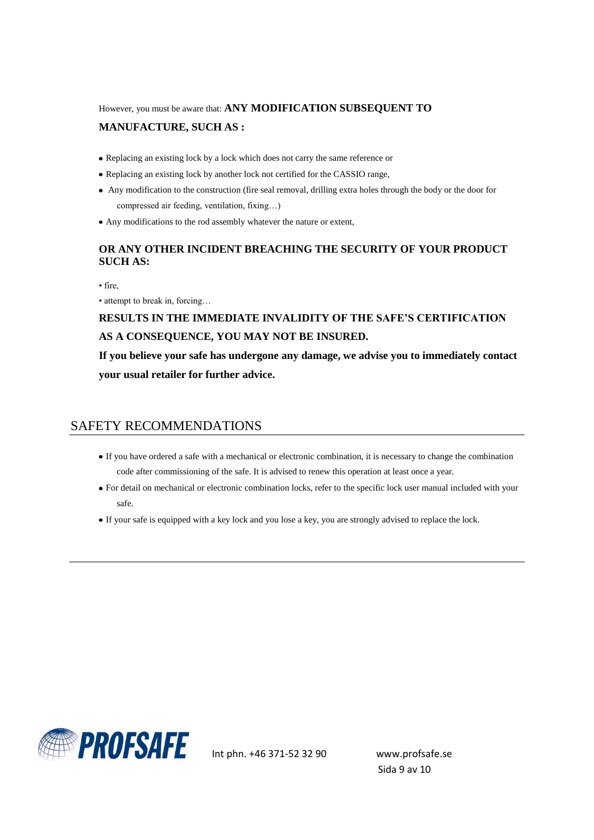However, you must be aware that: **ANY MODIFICATION SUBSEQUENT TO MANUFACTURE, SUCH AS :**

- Replacing an existing lock by a lock which does not carry the same reference or
- Replacing an existing lock by another lock not certified for the CASSIO range,
- Any modification to the construction (fire seal removal, drilling extra holes through the body or the door for compressed air feeding, ventilation, fixing…)
- Any modifications to the rod assembly whatever the nature or extent,

### **OR ANY OTHER INCIDENT BREACHING THE SECURITY OF YOUR PRODUCT SUCH AS:**

• fire,

• attempt to break in, forcing...

# **RESULTS IN THE IMMEDIATE INVALIDITY OF THE SAFE'S CERTIFICATION AS A CONSEQUENCE, YOU MAY NOT BE INSURED.**

**If you believe your safe has undergone any damage, we advise you to immediately contact your usual retailer for further advice.**

### SAFETY RECOMMENDATIONS

- If you have ordered a safe with a mechanical or electronic combination, it is necessary to change the combination code after commissioning of the safe. It is advised to renew this operation at least once a year.
- For detail on mechanical or electronic combination locks, refer to the specific lock user manual included with your safe.
- If your safe is equipped with a key lock and you lose a key, you are strongly advised to replace the lock.